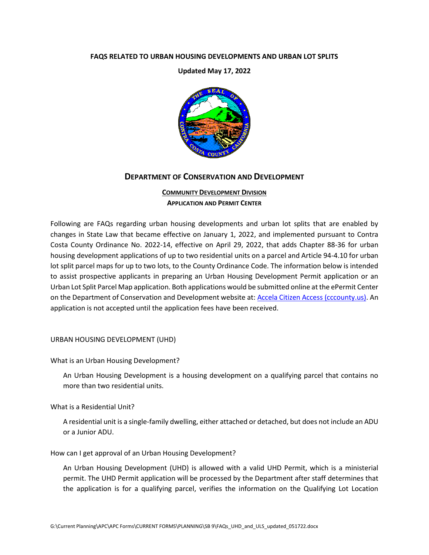#### **FAQS RELATED TO URBAN HOUSING DEVELOPMENTS AND URBAN LOT SPLITS**

**Updated May 17, 2022**



# **DEPARTMENT OF CONSERVATION AND DEVELOPMENT**

# **COMMUNITY DEVELOPMENT DIVISION APPLICATION AND PERMIT CENTER**

Following are FAQs regarding urban housing developments and urban lot splits that are enabled by changes in State Law that became effective on January 1, 2022, and implemented pursuant to Contra Costa County Ordinance No. 2022-14, effective on April 29, 2022, that adds Chapter 88-36 for urban housing development applications of up to two residential units on a parcel and Article 94-4.10 for urban lot split parcel maps for up to two lots, to the County Ordinance Code. The information below is intended to assist prospective applicants in preparing an Urban Housing Development Permit application or an Urban Lot Split Parcel Map application. Both applications would be submitted online at the ePermit Center on the Department of Conservation and Development website at: [Accela Citizen Access \(cccounty.us\).](https://epermits.cccounty.us/CitizenAccess/Default.aspx) An application is not accepted until the application fees have been received.

URBAN HOUSING DEVELOPMENT (UHD)

What is an Urban Housing Development?

An Urban Housing Development is a housing development on a qualifying parcel that contains no more than two residential units.

What is a Residential Unit?

A residential unit is a single-family dwelling, either attached or detached, but does not include an ADU or a Junior ADU.

How can I get approval of an Urban Housing Development?

An Urban Housing Development (UHD) is allowed with a valid UHD Permit, which is a ministerial permit. The UHD Permit application will be processed by the Department after staff determines that the application is for a qualifying parcel, verifies the information on the Qualifying Lot Location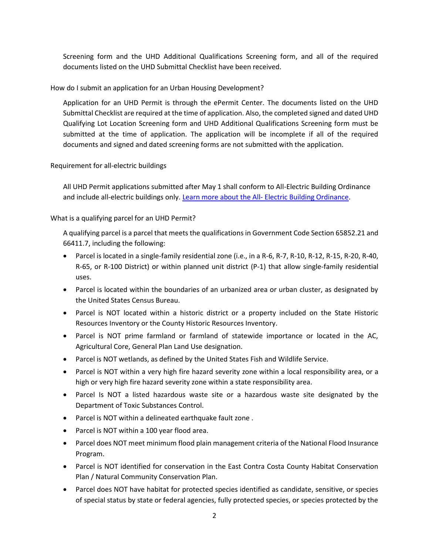Screening form and the UHD Additional Qualifications Screening form, and all of the required documents listed on the UHD Submittal Checklist have been received.

How do I submit an application for an Urban Housing Development?

Application for an UHD Permit is through the ePermit Center. The documents listed on the UHD Submittal Checklist are required at the time of application. Also, the completed signed and dated UHD Qualifying Lot Location Screening form and UHD Additional Qualifications Screening form must be submitted at the time of application. The application will be incomplete if all of the required documents and signed and dated screening forms are not submitted with the application.

### Requirement for all-electric buildings

All UHD Permit applications submitted after May 1 shall conform to All-Electric Building Ordinance and include all-electric buildings only. Learn more about the All- [Electric Building Ordinance.](https://www.contracosta.ca.gov/8536/All--Electric-Building-Ordinance)

### What is a qualifying parcel for an UHD Permit?

A qualifying parcel is a parcel that meets the qualifications in Government Code Section 65852.21 and 66411.7, including the following:

- Parcel is located in a single-family residential zone (i.e., in a R-6, R-7, R-10, R-12, R-15, R-20, R-40, R-65, or R-100 District) or within planned unit district (P-1) that allow single-family residential uses.
- Parcel is located within the boundaries of an urbanized area or urban cluster, as designated by the United States Census Bureau.
- Parcel is NOT located within a historic district or a property included on the State Historic Resources Inventory or the County Historic Resources Inventory.
- Parcel is NOT prime farmland or farmland of statewide importance or located in the AC, Agricultural Core, General Plan Land Use designation.
- Parcel is NOT wetlands, as defined by the United States Fish and Wildlife Service.
- Parcel is NOT within a very high fire hazard severity zone within a local responsibility area, or a high or very high fire hazard severity zone within a state responsibility area.
- Parcel Is NOT a listed hazardous waste site or a hazardous waste site designated by the Department of Toxic Substances Control.
- Parcel is NOT within a delineated earthquake fault zone .
- Parcel is NOT within a 100 year flood area.
- Parcel does NOT meet minimum flood plain management criteria of the National Flood Insurance Program.
- Parcel is NOT identified for conservation in the East Contra Costa County Habitat Conservation Plan / Natural Community Conservation Plan.
- Parcel does NOT have habitat for protected species identified as candidate, sensitive, or species of special status by state or federal agencies, fully protected species, or species protected by the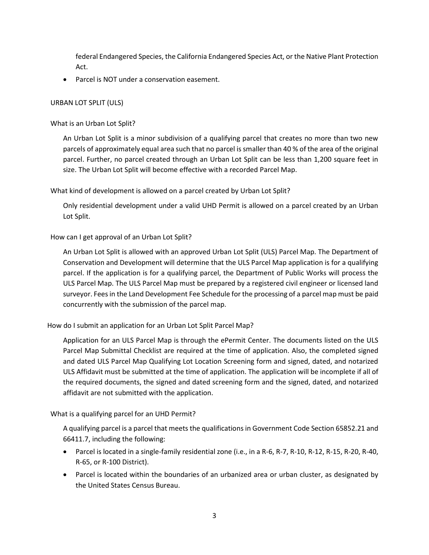federal Endangered Species, the California Endangered Species Act, or the Native Plant Protection Act.

• Parcel is NOT under a conservation easement.

### URBAN LOT SPLIT (ULS)

What is an Urban Lot Split?

An Urban Lot Split is a minor subdivision of a qualifying parcel that creates no more than two new parcels of approximately equal area such that no parcel is smaller than 40 % of the area of the original parcel. Further, no parcel created through an Urban Lot Split can be less than 1,200 square feet in size. The Urban Lot Split will become effective with a recorded Parcel Map.

What kind of development is allowed on a parcel created by Urban Lot Split?

Only residential development under a valid UHD Permit is allowed on a parcel created by an Urban Lot Split.

# How can I get approval of an Urban Lot Split?

An Urban Lot Split is allowed with an approved Urban Lot Split (ULS) Parcel Map. The Department of Conservation and Development will determine that the ULS Parcel Map application is for a qualifying parcel. If the application is for a qualifying parcel, the Department of Public Works will process the ULS Parcel Map. The ULS Parcel Map must be prepared by a registered civil engineer or licensed land surveyor. Fees in the Land Development Fee Schedule for the processing of a parcel map must be paid concurrently with the submission of the parcel map.

How do I submit an application for an Urban Lot Split Parcel Map?

Application for an ULS Parcel Map is through the ePermit Center. The documents listed on the ULS Parcel Map Submittal Checklist are required at the time of application. Also, the completed signed and dated ULS Parcel Map Qualifying Lot Location Screening form and signed, dated, and notarized ULS Affidavit must be submitted at the time of application. The application will be incomplete if all of the required documents, the signed and dated screening form and the signed, dated, and notarized affidavit are not submitted with the application.

What is a qualifying parcel for an UHD Permit?

A qualifying parcel is a parcel that meets the qualifications in Government Code Section 65852.21 and 66411.7, including the following:

- Parcel is located in a single-family residential zone (i.e., in a R-6, R-7, R-10, R-12, R-15, R-20, R-40, R-65, or R-100 District).
- Parcel is located within the boundaries of an urbanized area or urban cluster, as designated by the United States Census Bureau.